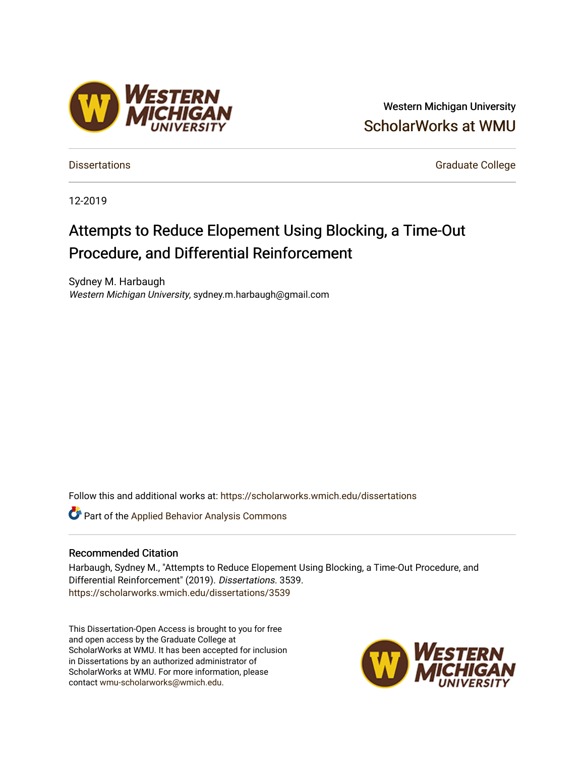# Western Michigan University [ScholarWorks at WMU](https://scholarworks.wmich.edu/)

[Dissertations](https://scholarworks.wmich.edu/dissertations) **Graduate College** Control of Control of Control of Control of Control of Control of Control of Control of Control of Control of Control of Control of Control of Control of Control of Control of Control of Co

12-2019

# Attempts to Reduce Elopement Using Blocking, a Time-Out Procedure, and Differential Reinforcement

Sydney M. Harbaugh Western Michigan University, sydney.m.harbaugh@gmail.com

Follow this and additional works at: [https://scholarworks.wmich.edu/dissertations](https://scholarworks.wmich.edu/dissertations?utm_source=scholarworks.wmich.edu%2Fdissertations%2F3539&utm_medium=PDF&utm_campaign=PDFCoverPages)

Part of the [Applied Behavior Analysis Commons](http://network.bepress.com/hgg/discipline/1235?utm_source=scholarworks.wmich.edu%2Fdissertations%2F3539&utm_medium=PDF&utm_campaign=PDFCoverPages)

#### Recommended Citation

Harbaugh, Sydney M., "Attempts to Reduce Elopement Using Blocking, a Time-Out Procedure, and Differential Reinforcement" (2019). Dissertations. 3539. [https://scholarworks.wmich.edu/dissertations/3539](https://scholarworks.wmich.edu/dissertations/3539?utm_source=scholarworks.wmich.edu%2Fdissertations%2F3539&utm_medium=PDF&utm_campaign=PDFCoverPages)

This Dissertation-Open Access is brought to you for free and open access by the Graduate College at ScholarWorks at WMU. It has been accepted for inclusion in Dissertations by an authorized administrator of ScholarWorks at WMU. For more information, please contact [wmu-scholarworks@wmich.edu](mailto:wmu-scholarworks@wmich.edu).



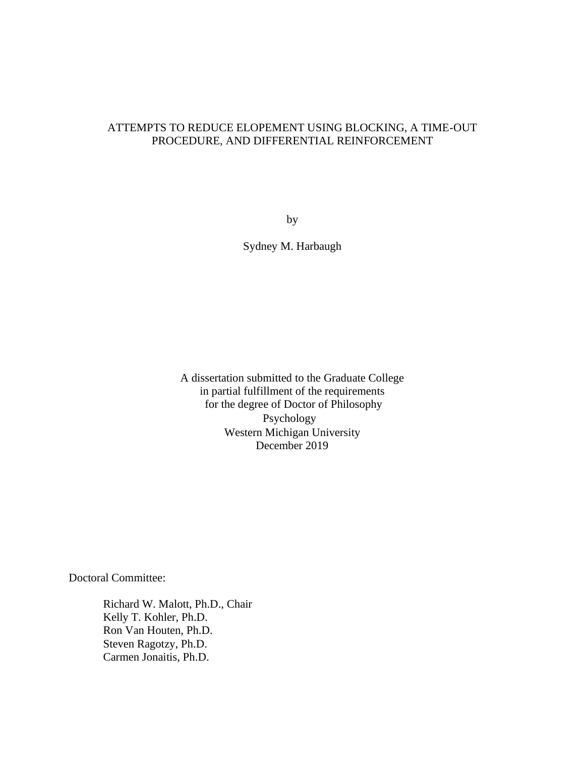## ATTEMPTS TO REDUCE ELOPEMENT USING BLOCKING, A TIME-OUT PROCEDURE, AND DIFFERENTIAL REINFORCEMENT

by

Sydney M. Harbaugh

A dissertation submitted to the Graduate College in partial fulfillment of the requirements for the degree of Doctor of Philosophy Psychology Western Michigan University December 2019

Doctoral Committee:

Richard W. Malott, Ph.D., Chair Kelly T. Kohler, Ph.D. Ron Van Houten, Ph.D. Steven Ragotzy, Ph.D. Carmen Jonaitis, Ph.D.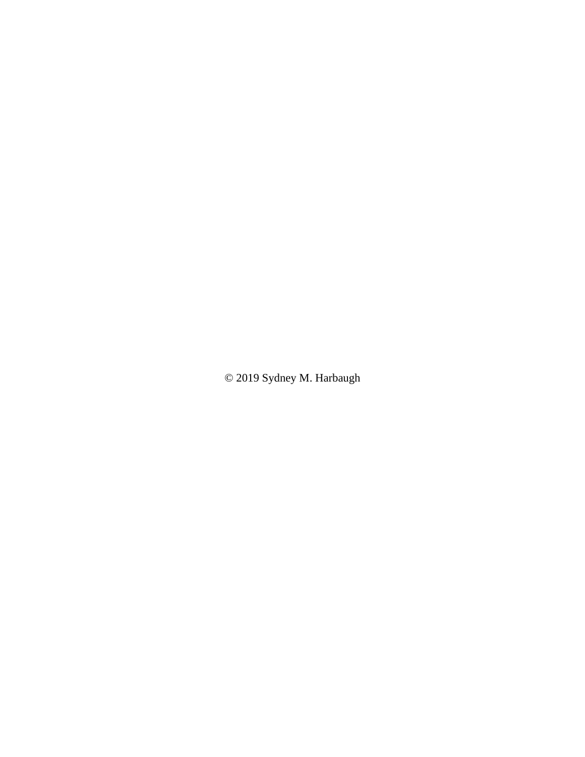© 2019 Sydney M. Harbaugh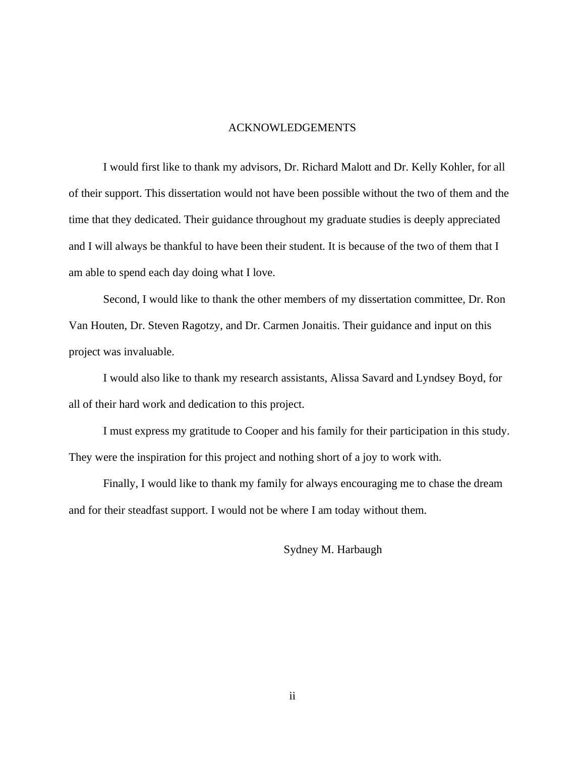### ACKNOWLEDGEMENTS

I would first like to thank my advisors, Dr. Richard Malott and Dr. Kelly Kohler, for all of their support. This dissertation would not have been possible without the two of them and the time that they dedicated. Their guidance throughout my graduate studies is deeply appreciated and I will always be thankful to have been their student. It is because of the two of them that I am able to spend each day doing what I love.

Second, I would like to thank the other members of my dissertation committee, Dr. Ron Van Houten, Dr. Steven Ragotzy, and Dr. Carmen Jonaitis. Their guidance and input on this project was invaluable.

I would also like to thank my research assistants, Alissa Savard and Lyndsey Boyd, for all of their hard work and dedication to this project.

I must express my gratitude to Cooper and his family for their participation in this study. They were the inspiration for this project and nothing short of a joy to work with.

Finally, I would like to thank my family for always encouraging me to chase the dream and for their steadfast support. I would not be where I am today without them.

Sydney M. Harbaugh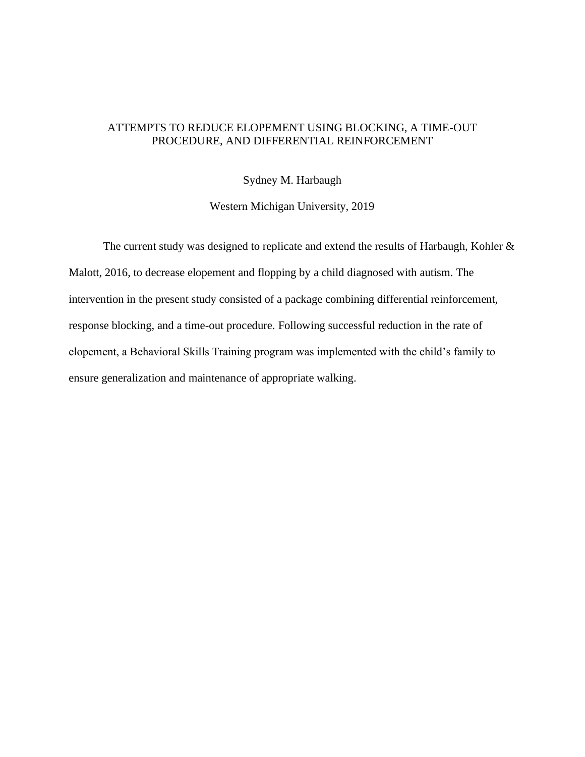## ATTEMPTS TO REDUCE ELOPEMENT USING BLOCKING, A TIME-OUT PROCEDURE, AND DIFFERENTIAL REINFORCEMENT

Sydney M. Harbaugh

Western Michigan University, 2019

The current study was designed to replicate and extend the results of Harbaugh, Kohler & Malott, 2016, to decrease elopement and flopping by a child diagnosed with autism. The intervention in the present study consisted of a package combining differential reinforcement, response blocking, and a time-out procedure. Following successful reduction in the rate of elopement, a Behavioral Skills Training program was implemented with the child's family to ensure generalization and maintenance of appropriate walking.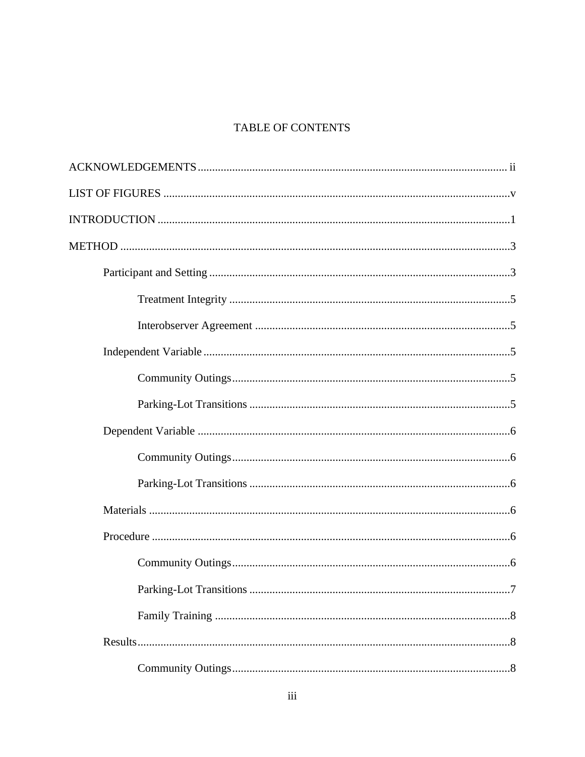## **TABLE OF CONTENTS**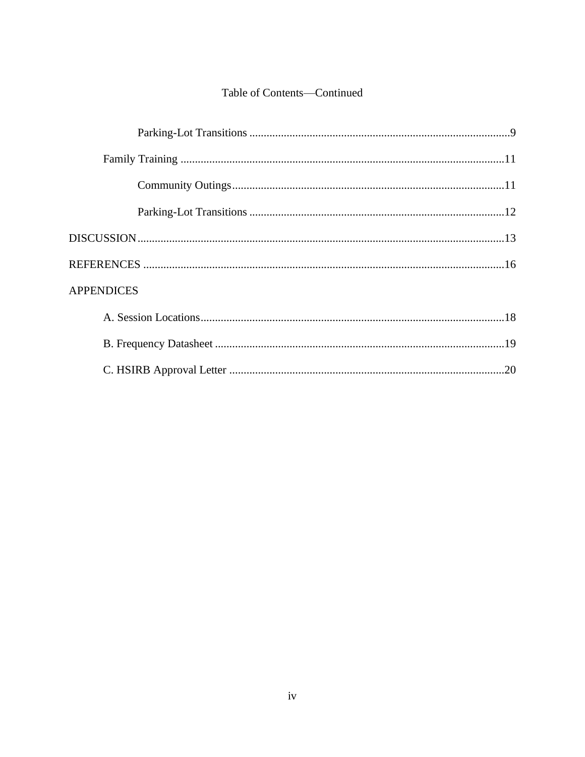# Table of Contents-Continued

| <b>APPENDICES</b> |
|-------------------|
|                   |
|                   |
|                   |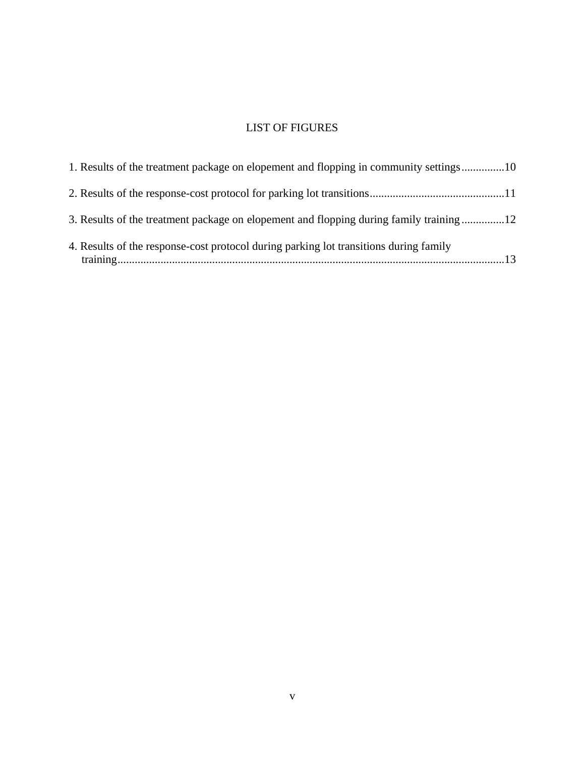# LIST OF FIGURES

| 1. Results of the treatment package on elopement and flopping in community settings10  |
|----------------------------------------------------------------------------------------|
|                                                                                        |
| 3. Results of the treatment package on elopement and flopping during family training12 |
| 4. Results of the response-cost protocol during parking lot transitions during family  |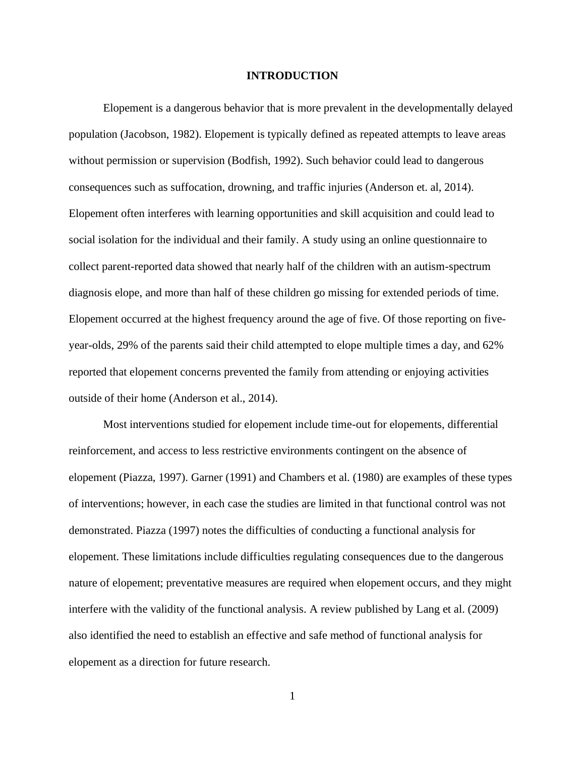#### **INTRODUCTION**

Elopement is a dangerous behavior that is more prevalent in the developmentally delayed population (Jacobson, 1982). Elopement is typically defined as repeated attempts to leave areas without permission or supervision (Bodfish, 1992). Such behavior could lead to dangerous consequences such as suffocation, drowning, and traffic injuries (Anderson et. al, 2014). Elopement often interferes with learning opportunities and skill acquisition and could lead to social isolation for the individual and their family. A study using an online questionnaire to collect parent-reported data showed that nearly half of the children with an autism-spectrum diagnosis elope, and more than half of these children go missing for extended periods of time. Elopement occurred at the highest frequency around the age of five. Of those reporting on fiveyear-olds, 29% of the parents said their child attempted to elope multiple times a day, and 62% reported that elopement concerns prevented the family from attending or enjoying activities outside of their home (Anderson et al., 2014).

Most interventions studied for elopement include time-out for elopements, differential reinforcement, and access to less restrictive environments contingent on the absence of elopement (Piazza, 1997). Garner (1991) and Chambers et al. (1980) are examples of these types of interventions; however, in each case the studies are limited in that functional control was not demonstrated. Piazza (1997) notes the difficulties of conducting a functional analysis for elopement. These limitations include difficulties regulating consequences due to the dangerous nature of elopement; preventative measures are required when elopement occurs, and they might interfere with the validity of the functional analysis. A review published by Lang et al. (2009) also identified the need to establish an effective and safe method of functional analysis for elopement as a direction for future research.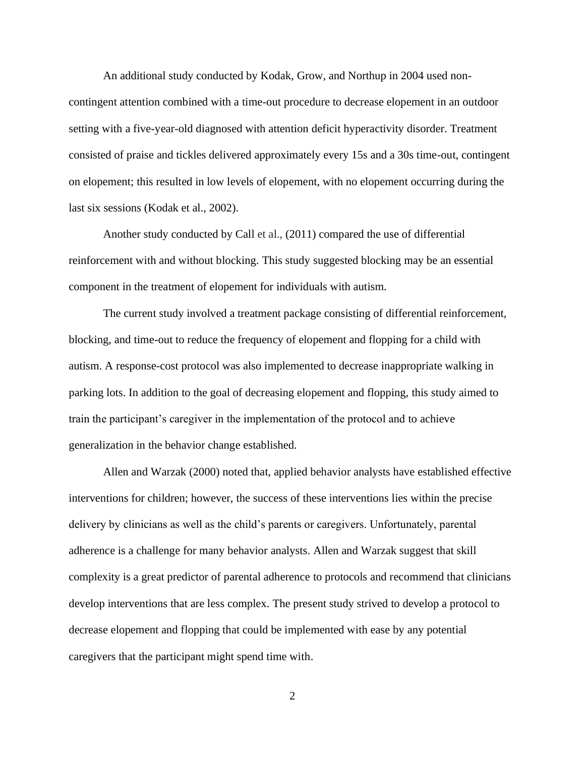An additional study conducted by Kodak, Grow, and Northup in 2004 used noncontingent attention combined with a time-out procedure to decrease elopement in an outdoor setting with a five-year-old diagnosed with attention deficit hyperactivity disorder. Treatment consisted of praise and tickles delivered approximately every 15s and a 30s time-out, contingent on elopement; this resulted in low levels of elopement, with no elopement occurring during the last six sessions (Kodak et al., 2002).

Another study conducted by Call et al., (2011) compared the use of differential reinforcement with and without blocking. This study suggested blocking may be an essential component in the treatment of elopement for individuals with autism.

The current study involved a treatment package consisting of differential reinforcement, blocking, and time-out to reduce the frequency of elopement and flopping for a child with autism. A response-cost protocol was also implemented to decrease inappropriate walking in parking lots. In addition to the goal of decreasing elopement and flopping, this study aimed to train the participant's caregiver in the implementation of the protocol and to achieve generalization in the behavior change established.

 Allen and Warzak (2000) noted that, applied behavior analysts have established effective interventions for children; however, the success of these interventions lies within the precise delivery by clinicians as well as the child's parents or caregivers. Unfortunately, parental adherence is a challenge for many behavior analysts. Allen and Warzak suggest that skill complexity is a great predictor of parental adherence to protocols and recommend that clinicians develop interventions that are less complex. The present study strived to develop a protocol to decrease elopement and flopping that could be implemented with ease by any potential caregivers that the participant might spend time with.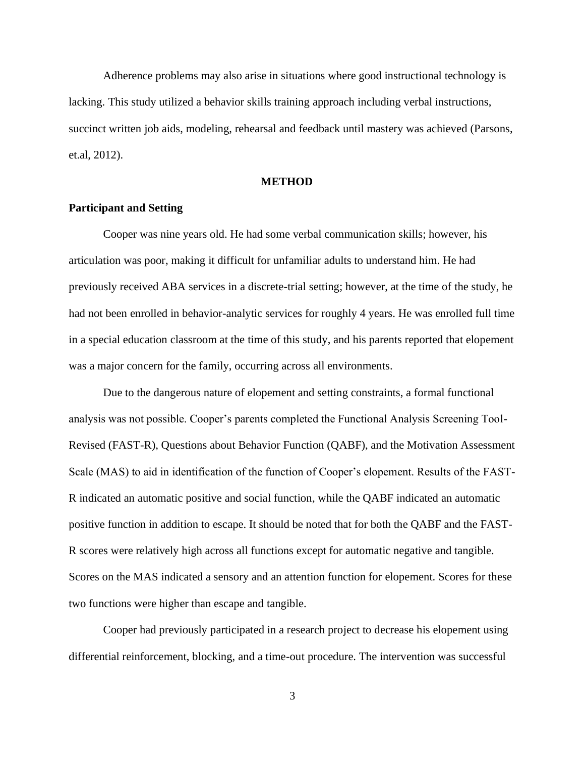Adherence problems may also arise in situations where good instructional technology is lacking. This study utilized a behavior skills training approach including verbal instructions, succinct written job aids, modeling, rehearsal and feedback until mastery was achieved (Parsons, et.al, 2012).

## **METHOD**

#### **Participant and Setting**

Cooper was nine years old. He had some verbal communication skills; however, his articulation was poor, making it difficult for unfamiliar adults to understand him. He had previously received ABA services in a discrete-trial setting; however, at the time of the study, he had not been enrolled in behavior-analytic services for roughly 4 years. He was enrolled full time in a special education classroom at the time of this study, and his parents reported that elopement was a major concern for the family, occurring across all environments.

Due to the dangerous nature of elopement and setting constraints, a formal functional analysis was not possible. Cooper's parents completed the Functional Analysis Screening Tool-Revised (FAST-R), Questions about Behavior Function (QABF), and the Motivation Assessment Scale (MAS) to aid in identification of the function of Cooper's elopement. Results of the FAST-R indicated an automatic positive and social function, while the QABF indicated an automatic positive function in addition to escape. It should be noted that for both the QABF and the FAST-R scores were relatively high across all functions except for automatic negative and tangible. Scores on the MAS indicated a sensory and an attention function for elopement. Scores for these two functions were higher than escape and tangible.

Cooper had previously participated in a research project to decrease his elopement using differential reinforcement, blocking, and a time-out procedure. The intervention was successful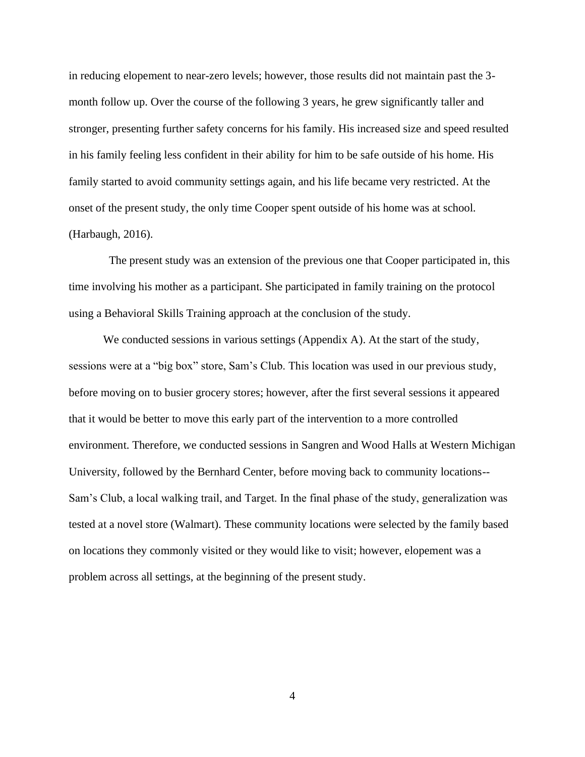in reducing elopement to near-zero levels; however, those results did not maintain past the 3 month follow up. Over the course of the following 3 years, he grew significantly taller and stronger, presenting further safety concerns for his family. His increased size and speed resulted in his family feeling less confident in their ability for him to be safe outside of his home. His family started to avoid community settings again, and his life became very restricted. At the onset of the present study, the only time Cooper spent outside of his home was at school. (Harbaugh, 2016).

 The present study was an extension of the previous one that Cooper participated in, this time involving his mother as a participant. She participated in family training on the protocol using a Behavioral Skills Training approach at the conclusion of the study.

We conducted sessions in various settings (Appendix A). At the start of the study, sessions were at a "big box" store, Sam's Club. This location was used in our previous study, before moving on to busier grocery stores; however, after the first several sessions it appeared that it would be better to move this early part of the intervention to a more controlled environment. Therefore, we conducted sessions in Sangren and Wood Halls at Western Michigan University, followed by the Bernhard Center, before moving back to community locations-- Sam's Club, a local walking trail, and Target. In the final phase of the study, generalization was tested at a novel store (Walmart). These community locations were selected by the family based on locations they commonly visited or they would like to visit; however, elopement was a problem across all settings, at the beginning of the present study.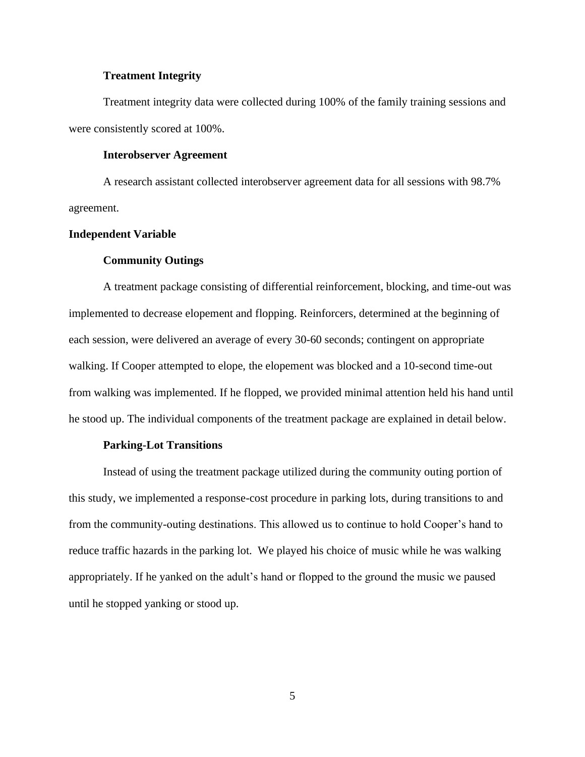#### **Treatment Integrity**

Treatment integrity data were collected during 100% of the family training sessions and were consistently scored at 100%.

#### **Interobserver Agreement**

A research assistant collected interobserver agreement data for all sessions with 98.7% agreement.

### **Independent Variable**

#### **Community Outings**

A treatment package consisting of differential reinforcement, blocking, and time-out was implemented to decrease elopement and flopping. Reinforcers, determined at the beginning of each session, were delivered an average of every 30-60 seconds; contingent on appropriate walking. If Cooper attempted to elope, the elopement was blocked and a 10-second time-out from walking was implemented. If he flopped, we provided minimal attention held his hand until he stood up. The individual components of the treatment package are explained in detail below.

#### **Parking-Lot Transitions**

Instead of using the treatment package utilized during the community outing portion of this study, we implemented a response-cost procedure in parking lots, during transitions to and from the community-outing destinations. This allowed us to continue to hold Cooper's hand to reduce traffic hazards in the parking lot. We played his choice of music while he was walking appropriately. If he yanked on the adult's hand or flopped to the ground the music we paused until he stopped yanking or stood up.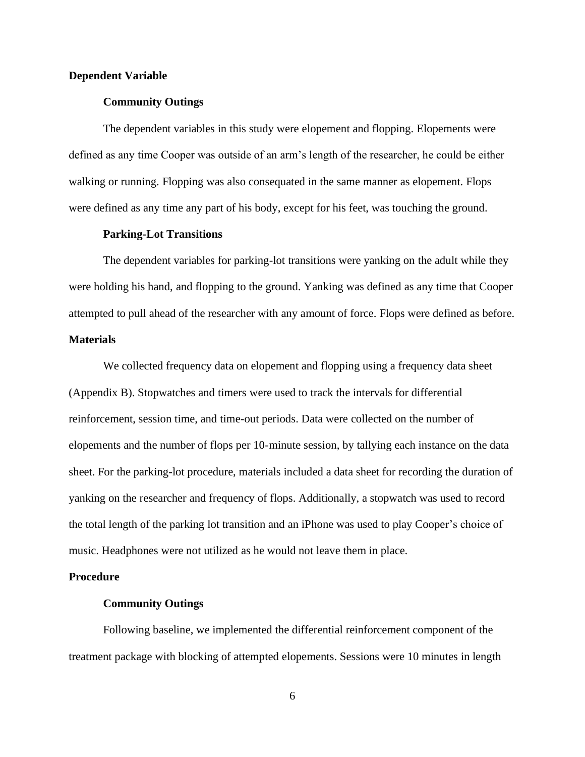#### **Dependent Variable**

#### **Community Outings**

The dependent variables in this study were elopement and flopping. Elopements were defined as any time Cooper was outside of an arm's length of the researcher, he could be either walking or running. Flopping was also consequated in the same manner as elopement. Flops were defined as any time any part of his body, except for his feet, was touching the ground.

#### **Parking-Lot Transitions**

The dependent variables for parking-lot transitions were yanking on the adult while they were holding his hand, and flopping to the ground. Yanking was defined as any time that Cooper attempted to pull ahead of the researcher with any amount of force. Flops were defined as before.

## **Materials**

We collected frequency data on elopement and flopping using a frequency data sheet (Appendix B). Stopwatches and timers were used to track the intervals for differential reinforcement, session time, and time-out periods. Data were collected on the number of elopements and the number of flops per 10-minute session, by tallying each instance on the data sheet. For the parking-lot procedure, materials included a data sheet for recording the duration of yanking on the researcher and frequency of flops. Additionally, a stopwatch was used to record the total length of the parking lot transition and an iPhone was used to play Cooper's choice of music. Headphones were not utilized as he would not leave them in place.

#### **Procedure**

#### **Community Outings**

Following baseline, we implemented the differential reinforcement component of the treatment package with blocking of attempted elopements. Sessions were 10 minutes in length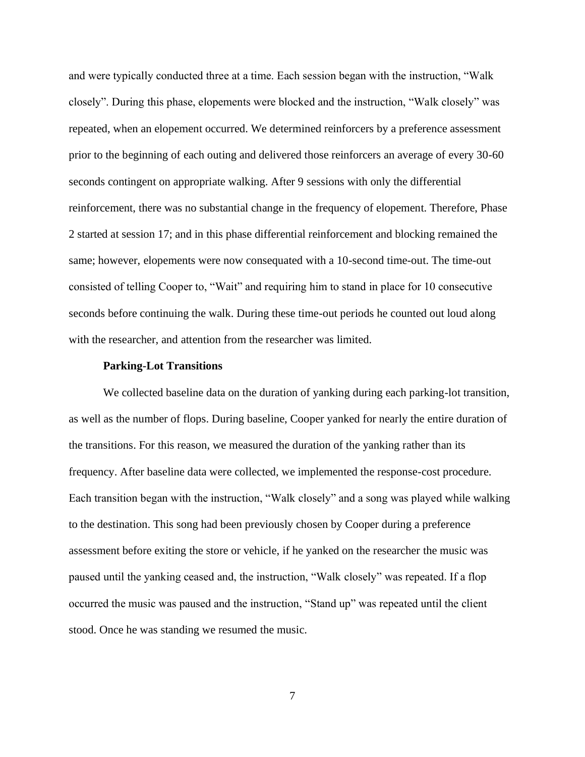and were typically conducted three at a time. Each session began with the instruction, "Walk closely". During this phase, elopements were blocked and the instruction, "Walk closely" was repeated, when an elopement occurred. We determined reinforcers by a preference assessment prior to the beginning of each outing and delivered those reinforcers an average of every 30-60 seconds contingent on appropriate walking. After 9 sessions with only the differential reinforcement, there was no substantial change in the frequency of elopement. Therefore, Phase 2 started at session 17; and in this phase differential reinforcement and blocking remained the same; however, elopements were now consequated with a 10-second time-out. The time-out consisted of telling Cooper to, "Wait" and requiring him to stand in place for 10 consecutive seconds before continuing the walk. During these time-out periods he counted out loud along with the researcher, and attention from the researcher was limited.

#### **Parking-Lot Transitions**

We collected baseline data on the duration of yanking during each parking-lot transition, as well as the number of flops. During baseline, Cooper yanked for nearly the entire duration of the transitions. For this reason, we measured the duration of the yanking rather than its frequency. After baseline data were collected, we implemented the response-cost procedure. Each transition began with the instruction, "Walk closely" and a song was played while walking to the destination. This song had been previously chosen by Cooper during a preference assessment before exiting the store or vehicle, if he yanked on the researcher the music was paused until the yanking ceased and, the instruction, "Walk closely" was repeated. If a flop occurred the music was paused and the instruction, "Stand up" was repeated until the client stood. Once he was standing we resumed the music.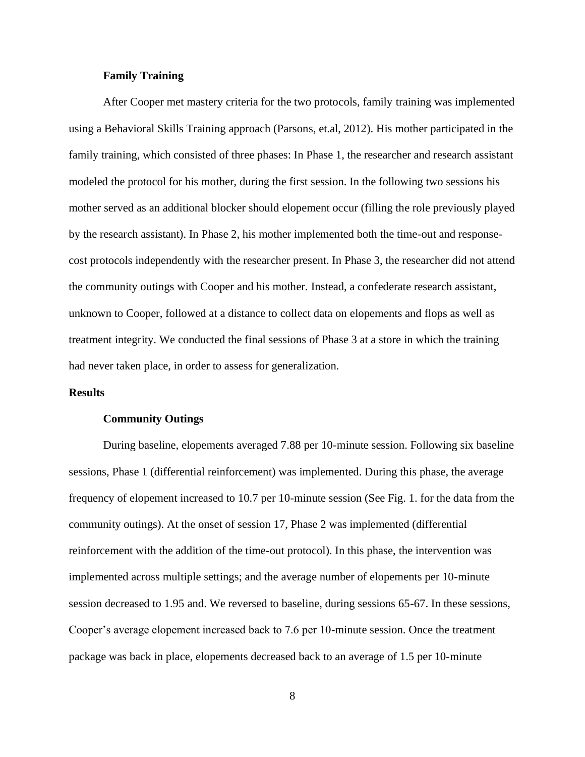#### **Family Training**

After Cooper met mastery criteria for the two protocols, family training was implemented using a Behavioral Skills Training approach (Parsons, et.al, 2012). His mother participated in the family training, which consisted of three phases: In Phase 1, the researcher and research assistant modeled the protocol for his mother, during the first session. In the following two sessions his mother served as an additional blocker should elopement occur (filling the role previously played by the research assistant). In Phase 2, his mother implemented both the time-out and responsecost protocols independently with the researcher present. In Phase 3, the researcher did not attend the community outings with Cooper and his mother. Instead, a confederate research assistant, unknown to Cooper, followed at a distance to collect data on elopements and flops as well as treatment integrity. We conducted the final sessions of Phase 3 at a store in which the training had never taken place, in order to assess for generalization.

#### **Results**

#### **Community Outings**

During baseline, elopements averaged 7.88 per 10-minute session. Following six baseline sessions, Phase 1 (differential reinforcement) was implemented. During this phase, the average frequency of elopement increased to 10.7 per 10-minute session (See Fig. 1. for the data from the community outings). At the onset of session 17, Phase 2 was implemented (differential reinforcement with the addition of the time-out protocol). In this phase, the intervention was implemented across multiple settings; and the average number of elopements per 10-minute session decreased to 1.95 and. We reversed to baseline, during sessions 65-67. In these sessions, Cooper's average elopement increased back to 7.6 per 10-minute session. Once the treatment package was back in place, elopements decreased back to an average of 1.5 per 10-minute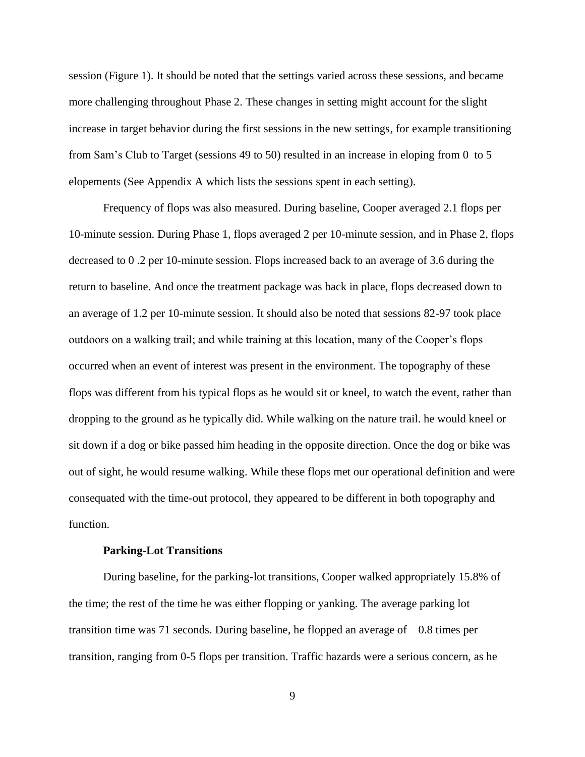session (Figure 1). It should be noted that the settings varied across these sessions, and became more challenging throughout Phase 2. These changes in setting might account for the slight increase in target behavior during the first sessions in the new settings, for example transitioning from Sam's Club to Target (sessions 49 to 50) resulted in an increase in eloping from 0 to 5 elopements (See Appendix A which lists the sessions spent in each setting).

Frequency of flops was also measured. During baseline, Cooper averaged 2.1 flops per 10-minute session. During Phase 1, flops averaged 2 per 10-minute session, and in Phase 2, flops decreased to 0 .2 per 10-minute session. Flops increased back to an average of 3.6 during the return to baseline. And once the treatment package was back in place, flops decreased down to an average of 1.2 per 10-minute session. It should also be noted that sessions 82-97 took place outdoors on a walking trail; and while training at this location, many of the Cooper's flops occurred when an event of interest was present in the environment. The topography of these flops was different from his typical flops as he would sit or kneel, to watch the event, rather than dropping to the ground as he typically did. While walking on the nature trail. he would kneel or sit down if a dog or bike passed him heading in the opposite direction. Once the dog or bike was out of sight, he would resume walking. While these flops met our operational definition and were consequated with the time-out protocol, they appeared to be different in both topography and function.

#### **Parking-Lot Transitions**

During baseline, for the parking-lot transitions, Cooper walked appropriately 15.8% of the time; the rest of the time he was either flopping or yanking. The average parking lot transition time was 71 seconds. During baseline, he flopped an average of 0.8 times per transition, ranging from 0-5 flops per transition. Traffic hazards were a serious concern, as he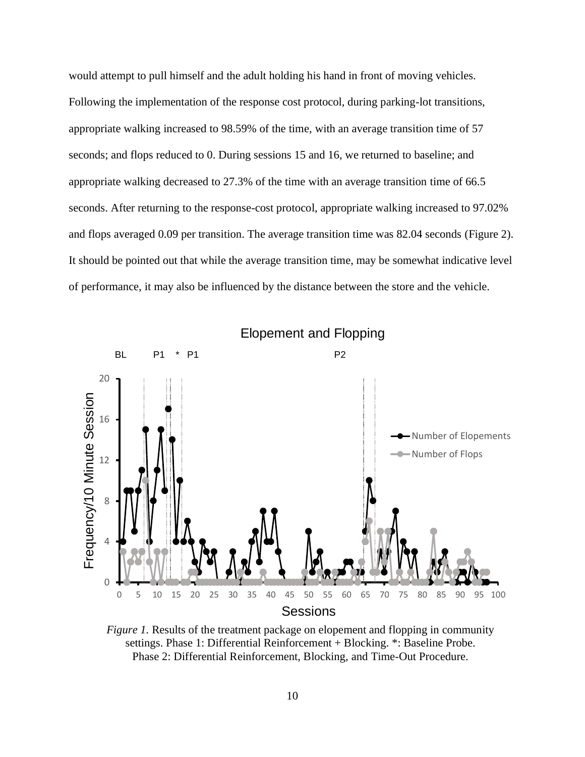would attempt to pull himself and the adult holding his hand in front of moving vehicles. Following the implementation of the response cost protocol, during parking-lot transitions, appropriate walking increased to 98.59% of the time, with an average transition time of 57 seconds; and flops reduced to 0. During sessions 15 and 16, we returned to baseline; and appropriate walking decreased to 27.3% of the time with an average transition time of 66.5 seconds. After returning to the response-cost protocol, appropriate walking increased to 97.02% and flops averaged 0.09 per transition. The average transition time was 82.04 seconds (Figure 2). It should be pointed out that while the average transition time, may be somewhat indicative level of performance, it may also be influenced by the distance between the store and the vehicle.



*Figure 1.* Results of the treatment package on elopement and flopping in community settings. Phase 1: Differential Reinforcement + Blocking. \*: Baseline Probe. Phase 2: Differential Reinforcement, Blocking, and Time-Out Procedure.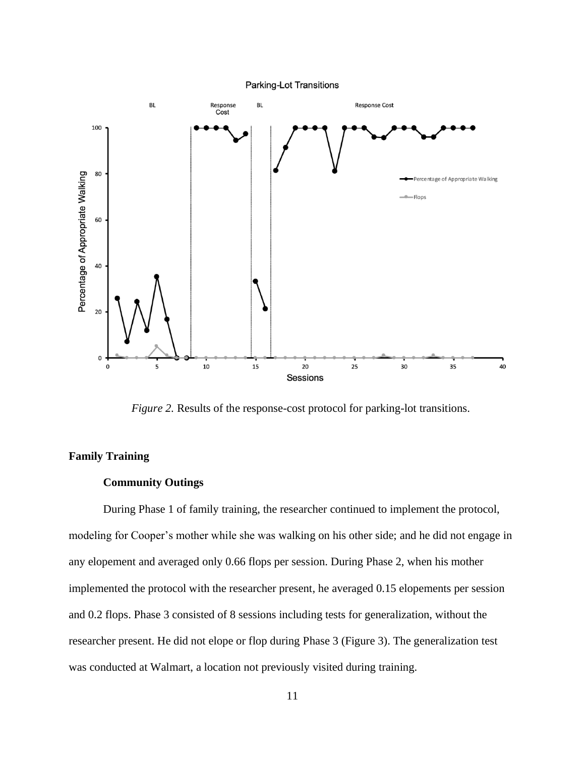

*Figure 2.* Results of the response-cost protocol for parking-lot transitions.

## **Family Training**

#### **Community Outings**

During Phase 1 of family training, the researcher continued to implement the protocol, modeling for Cooper's mother while she was walking on his other side; and he did not engage in any elopement and averaged only 0.66 flops per session. During Phase 2, when his mother implemented the protocol with the researcher present, he averaged 0.15 elopements per session and 0.2 flops. Phase 3 consisted of 8 sessions including tests for generalization, without the researcher present. He did not elope or flop during Phase 3 (Figure 3). The generalization test was conducted at Walmart, a location not previously visited during training.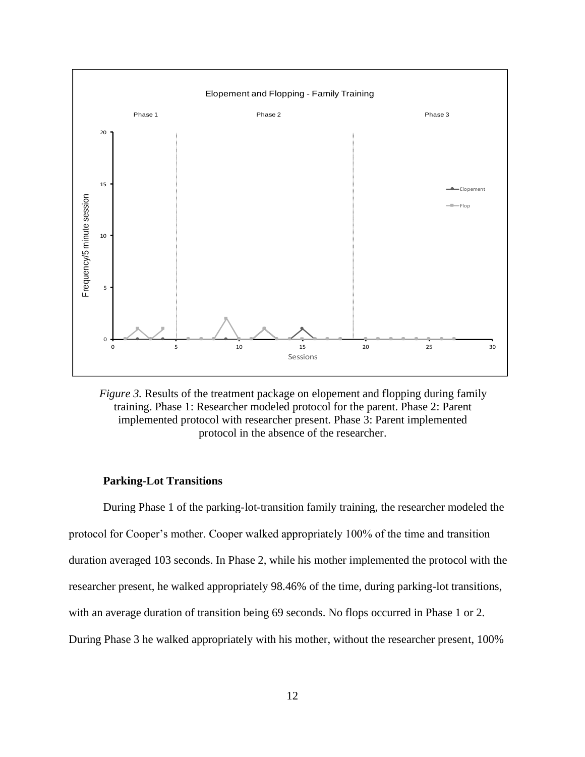

*Figure 3.* Results of the treatment package on elopement and flopping during family training. Phase 1: Researcher modeled protocol for the parent. Phase 2: Parent implemented protocol with researcher present. Phase 3: Parent implemented protocol in the absence of the researcher.

## **Parking-Lot Transitions**

During Phase 1 of the parking-lot-transition family training, the researcher modeled the protocol for Cooper's mother. Cooper walked appropriately 100% of the time and transition duration averaged 103 seconds. In Phase 2, while his mother implemented the protocol with the researcher present, he walked appropriately 98.46% of the time, during parking-lot transitions, with an average duration of transition being 69 seconds. No flops occurred in Phase 1 or 2. During Phase 3 he walked appropriately with his mother, without the researcher present, 100%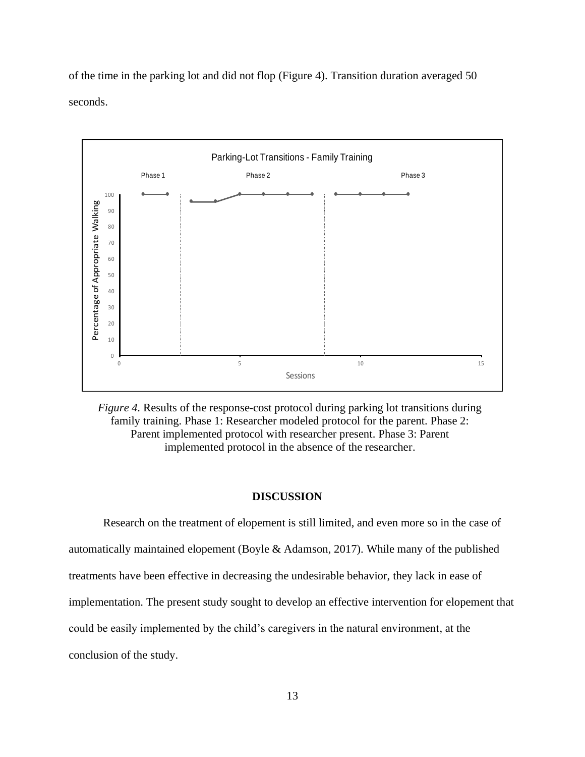of the time in the parking lot and did not flop (Figure 4). Transition duration averaged 50 seconds.



*Figure 4.* Results of the response-cost protocol during parking lot transitions during family training. Phase 1: Researcher modeled protocol for the parent. Phase 2: Parent implemented protocol with researcher present. Phase 3: Parent implemented protocol in the absence of the researcher.

#### **DISCUSSION**

Research on the treatment of elopement is still limited, and even more so in the case of automatically maintained elopement (Boyle & Adamson, 2017). While many of the published treatments have been effective in decreasing the undesirable behavior, they lack in ease of implementation. The present study sought to develop an effective intervention for elopement that could be easily implemented by the child's caregivers in the natural environment, at the conclusion of the study.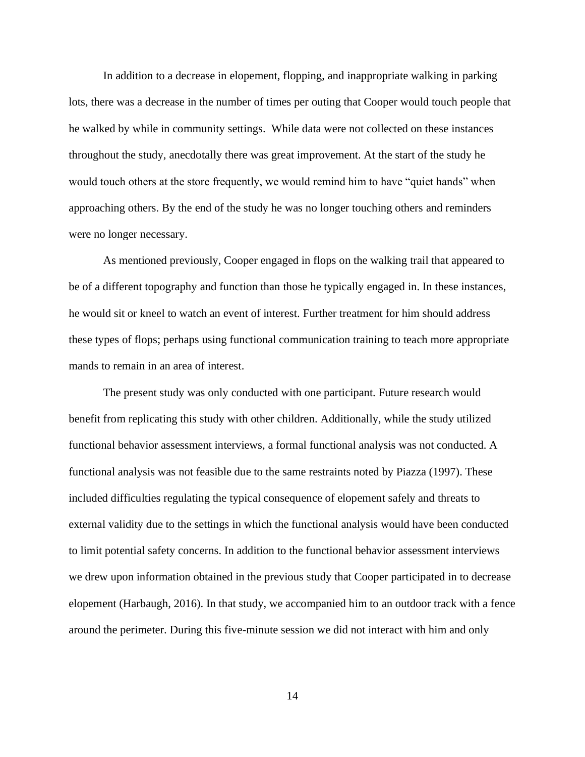In addition to a decrease in elopement, flopping, and inappropriate walking in parking lots, there was a decrease in the number of times per outing that Cooper would touch people that he walked by while in community settings. While data were not collected on these instances throughout the study, anecdotally there was great improvement. At the start of the study he would touch others at the store frequently, we would remind him to have "quiet hands" when approaching others. By the end of the study he was no longer touching others and reminders were no longer necessary.

 As mentioned previously, Cooper engaged in flops on the walking trail that appeared to be of a different topography and function than those he typically engaged in. In these instances, he would sit or kneel to watch an event of interest. Further treatment for him should address these types of flops; perhaps using functional communication training to teach more appropriate mands to remain in an area of interest.

 The present study was only conducted with one participant. Future research would benefit from replicating this study with other children. Additionally, while the study utilized functional behavior assessment interviews, a formal functional analysis was not conducted. A functional analysis was not feasible due to the same restraints noted by Piazza (1997). These included difficulties regulating the typical consequence of elopement safely and threats to external validity due to the settings in which the functional analysis would have been conducted to limit potential safety concerns. In addition to the functional behavior assessment interviews we drew upon information obtained in the previous study that Cooper participated in to decrease elopement (Harbaugh, 2016). In that study, we accompanied him to an outdoor track with a fence around the perimeter. During this five-minute session we did not interact with him and only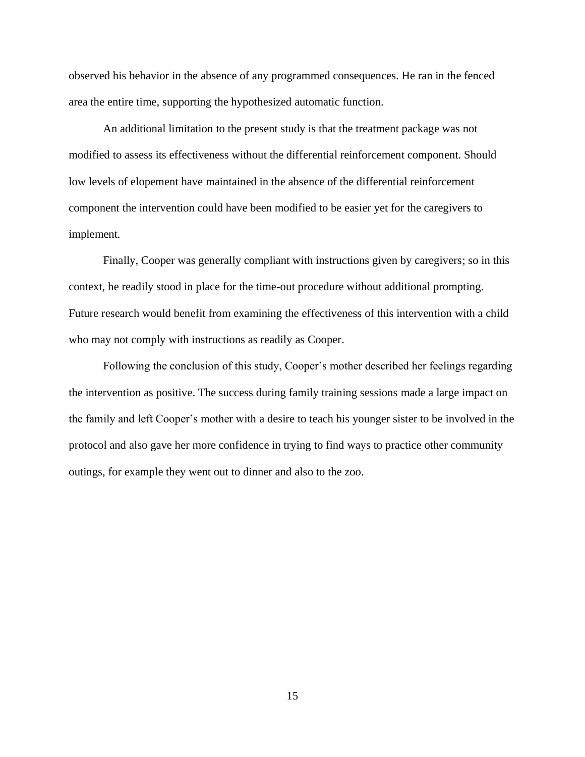observed his behavior in the absence of any programmed consequences. He ran in the fenced area the entire time, supporting the hypothesized automatic function.

 An additional limitation to the present study is that the treatment package was not modified to assess its effectiveness without the differential reinforcement component. Should low levels of elopement have maintained in the absence of the differential reinforcement component the intervention could have been modified to be easier yet for the caregivers to implement.

 Finally, Cooper was generally compliant with instructions given by caregivers; so in this context, he readily stood in place for the time-out procedure without additional prompting. Future research would benefit from examining the effectiveness of this intervention with a child who may not comply with instructions as readily as Cooper.

 Following the conclusion of this study, Cooper's mother described her feelings regarding the intervention as positive. The success during family training sessions made a large impact on the family and left Cooper's mother with a desire to teach his younger sister to be involved in the protocol and also gave her more confidence in trying to find ways to practice other community outings, for example they went out to dinner and also to the zoo.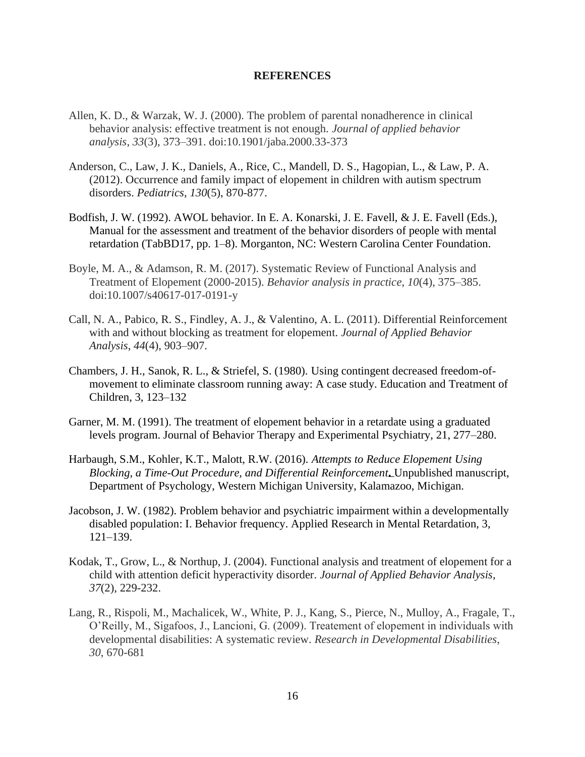#### **REFERENCES**

- Allen, K. D., & Warzak, W. J. (2000). The problem of parental nonadherence in clinical behavior analysis: effective treatment is not enough. *Journal of applied behavior analysis*, *33*(3), 373–391. doi:10.1901/jaba.2000.33-373
- Anderson, C., Law, J. K., Daniels, A., Rice, C., Mandell, D. S., Hagopian, L., & Law, P. A. (2012). Occurrence and family impact of elopement in children with autism spectrum disorders. *Pediatrics*, *130*(5), 870-877.
- Bodfish, J. W. (1992). AWOL behavior. In E. A. Konarski, J. E. Favell, & J. E. Favell (Eds.), Manual for the assessment and treatment of the behavior disorders of people with mental retardation (TabBD17, pp. 1–8). Morganton, NC: Western Carolina Center Foundation.
- Boyle, M. A., & Adamson, R. M. (2017). Systematic Review of Functional Analysis and Treatment of Elopement (2000-2015). *Behavior analysis in practice*, *10*(4), 375–385. doi:10.1007/s40617-017-0191-y
- Call, N. A., Pabico, R. S., Findley, A. J., & Valentino, A. L. (2011). Differential Reinforcement with and without blocking as treatment for elopement. *Journal of Applied Behavior Analysis*, *44*(4), 903–907.
- Chambers, J. H., Sanok, R. L., & Striefel, S. (1980). Using contingent decreased freedom-ofmovement to eliminate classroom running away: A case study. Education and Treatment of Children, 3, 123–132
- Garner, M. M. (1991). The treatment of elopement behavior in a retardate using a graduated levels program. Journal of Behavior Therapy and Experimental Psychiatry, 21, 277–280.
- Harbaugh, S.M., Kohler, K.T., Malott, R.W. (2016). *Attempts to Reduce Elopement Using Blocking, a Time-Out Procedure, and Differential Reinforcement***.** Unpublished manuscript, Department of Psychology, Western Michigan University, Kalamazoo, Michigan.
- Jacobson, J. W. (1982). Problem behavior and psychiatric impairment within a developmentally disabled population: I. Behavior frequency. Applied Research in Mental Retardation, 3, 121–139.
- Kodak, T., Grow, L., & Northup, J. (2004). Functional analysis and treatment of elopement for a child with attention deficit hyperactivity disorder. *Journal of Applied Behavior Analysis*, *37*(2), 229-232.
- Lang, R., Rispoli, M., Machalicek, W., White, P. J., Kang, S., Pierce, N., Mulloy, A., Fragale, T., O'Reilly, M., Sigafoos, J., Lancioni, G. (2009). Treatement of elopement in individuals with developmental disabilities: A systematic review. *Research in Developmental Disabilities, 30*, 670-681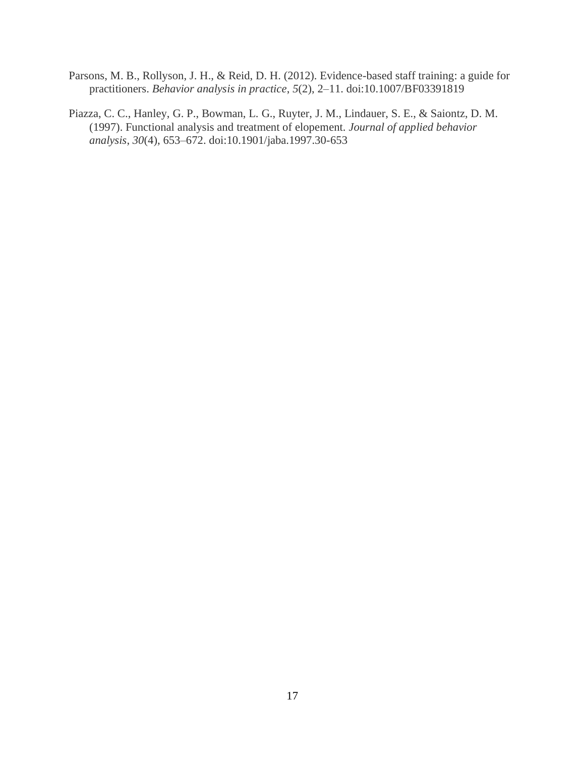- Parsons, M. B., Rollyson, J. H., & Reid, D. H. (2012). Evidence-based staff training: a guide for practitioners. *Behavior analysis in practice*, *5*(2), 2–11. doi:10.1007/BF03391819
- Piazza, C. C., Hanley, G. P., Bowman, L. G., Ruyter, J. M., Lindauer, S. E., & Saiontz, D. M. (1997). Functional analysis and treatment of elopement. *Journal of applied behavior analysis*, *30*(4), 653–672. doi:10.1901/jaba.1997.30-653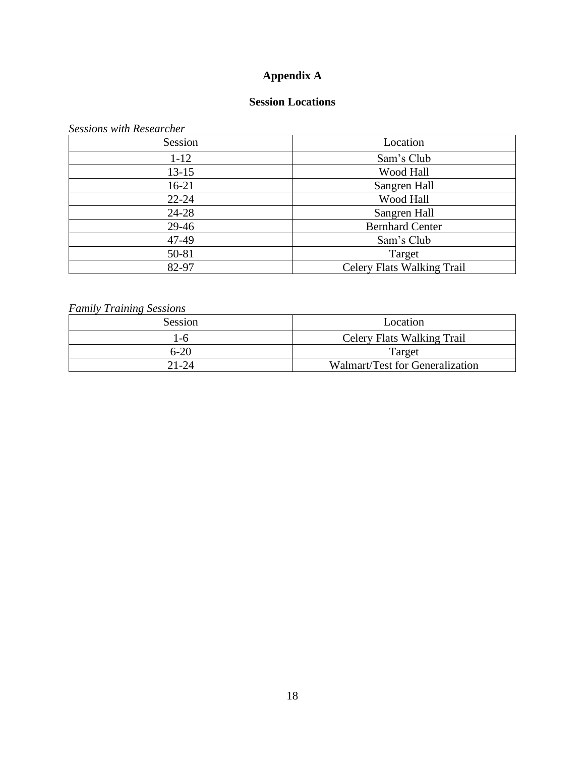# **Appendix A**

# **Session Locations**

*Sessions with Researcher*

| Session   | Location                          |
|-----------|-----------------------------------|
| $1 - 12$  | Sam's Club                        |
| $13 - 15$ | Wood Hall                         |
| $16-21$   | Sangren Hall                      |
| $22 - 24$ | Wood Hall                         |
| 24-28     | Sangren Hall                      |
| 29-46     | <b>Bernhard Center</b>            |
| 47-49     | Sam's Club                        |
| 50-81     | Target                            |
| 82-97     | <b>Celery Flats Walking Trail</b> |

# *Family Training Sessions*

| Session | Location                          |  |
|---------|-----------------------------------|--|
| $-6$    | <b>Celery Flats Walking Trail</b> |  |
| 6-20    | Target                            |  |
| 21-24   | Walmart/Test for Generalization   |  |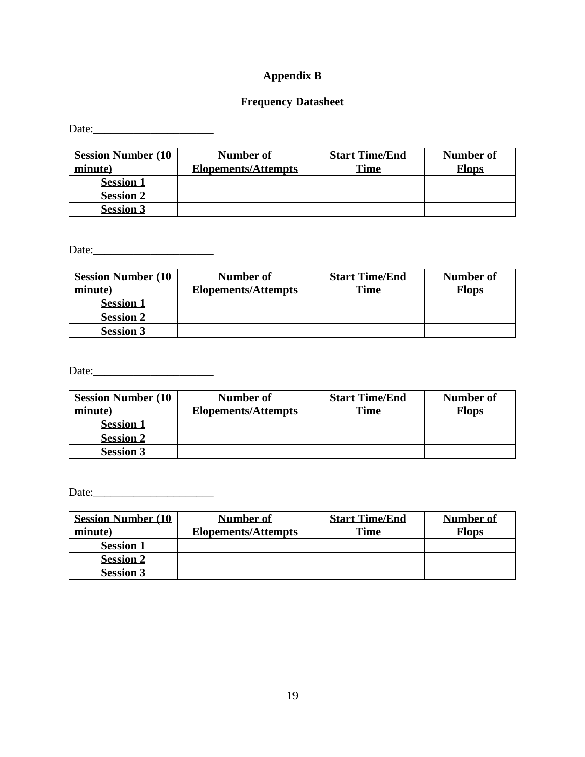# **Appendix B**

# **Frequency Datasheet**

Date:\_\_\_\_\_\_\_\_\_\_\_\_\_\_\_\_\_\_\_\_\_

| <b>Session Number (10)</b> | Number of                  | <b>Start Time/End</b> | <b>Number of</b> |
|----------------------------|----------------------------|-----------------------|------------------|
| minute)                    | <b>Elopements/Attempts</b> | <b>Time</b>           | <b>Flops</b>     |
| <b>Session 1</b>           |                            |                       |                  |
| <b>Session 2</b>           |                            |                       |                  |
| <b>Session 3</b>           |                            |                       |                  |

Date:\_\_\_\_\_\_\_\_\_\_\_\_\_\_\_\_\_\_\_\_\_

| <b>Session Number (10)</b> | <b>Number of</b>           | <b>Start Time/End</b> | <b>Number of</b> |
|----------------------------|----------------------------|-----------------------|------------------|
| minute)                    | <b>Elopements/Attempts</b> | <b>Time</b>           | <b>Flops</b>     |
| <b>Session 1</b>           |                            |                       |                  |
| <b>Session 2</b>           |                            |                       |                  |
| <b>Session 3</b>           |                            |                       |                  |

Date:\_\_\_\_\_\_\_\_\_\_\_\_\_\_\_\_\_\_\_\_\_

| <b>Session Number (10)</b><br>minute) | <b>Number of</b><br><b>Elopements/Attempts</b> | <b>Start Time/End</b><br><b>Time</b> | <b>Number of</b><br><b>Flops</b> |
|---------------------------------------|------------------------------------------------|--------------------------------------|----------------------------------|
| <b>Session 1</b>                      |                                                |                                      |                                  |
| <b>Session 2</b>                      |                                                |                                      |                                  |
| <b>Session 3</b>                      |                                                |                                      |                                  |

Date:\_\_\_\_\_\_\_\_\_\_\_\_\_\_\_\_\_\_\_\_\_

| <b>Session Number (10)</b><br>minute) | Number of<br><b>Elopements/Attempts</b> | <b>Start Time/End</b><br><b>Time</b> | <b>Number of</b><br><b>Flops</b> |
|---------------------------------------|-----------------------------------------|--------------------------------------|----------------------------------|
| <b>Session 1</b>                      |                                         |                                      |                                  |
| <b>Session 2</b>                      |                                         |                                      |                                  |
| <b>Session 3</b>                      |                                         |                                      |                                  |